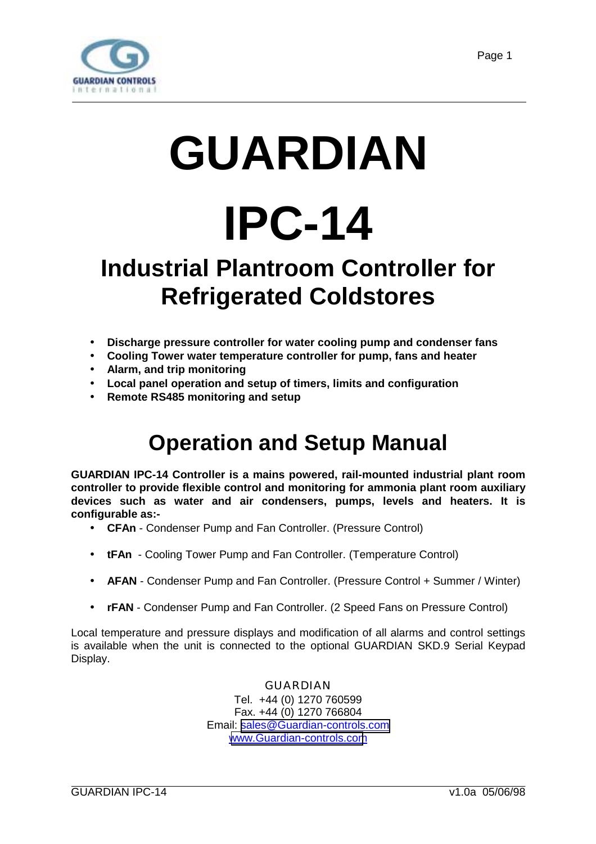<span id="page-0-0"></span>

# **GUARDIAN IPC-14**

# **Industrial Plantroom Controller for Refrigerated Coldstores**

- **Discharge pressure controller for water cooling pump and condenser fans**
- **Cooling Tower water temperature controller for pump, fans and heater**
- **Alarm, and trip monitoring**
- **Local panel operation and setup of timers, limits and configuration**
- **Remote RS485 monitoring and setup**

# **Operation and Setup Manual**

**GUARDIAN IPC-14 Controller is a mains powered, rail-mounted industrial plant room controller to provide flexible control and monitoring for ammonia plant room auxiliary devices such as water and air condensers, pumps, levels and heaters. It is configurable as:-**

- **CFAn** Condenser Pump and Fan Controller. (Pressure Control)
- **tFAn**  Cooling Tower Pump and Fan Controller. (Temperature Control)
- **AFAN**  Condenser Pump and Fan Controller. (Pressure Control + Summer / Winter)
- **rFAN**  Condenser Pump and Fan Controller. (2 Speed Fans on Pressure Control)

Local temperature and pressure displays and modification of all alarms and control settings is available when the unit is connected to the optional GUARDIAN SKD.9 Serial Keypad Display.

> GUARDIAN Tel. +44 (0) 1270 760599 Fax. +44 (0) 1270 766804 Email: [sales@Guardian-controls.com](mailto:sales@microm-electronics.com) [www.Guardian-controls.com](http://www.microm-electronics.com/)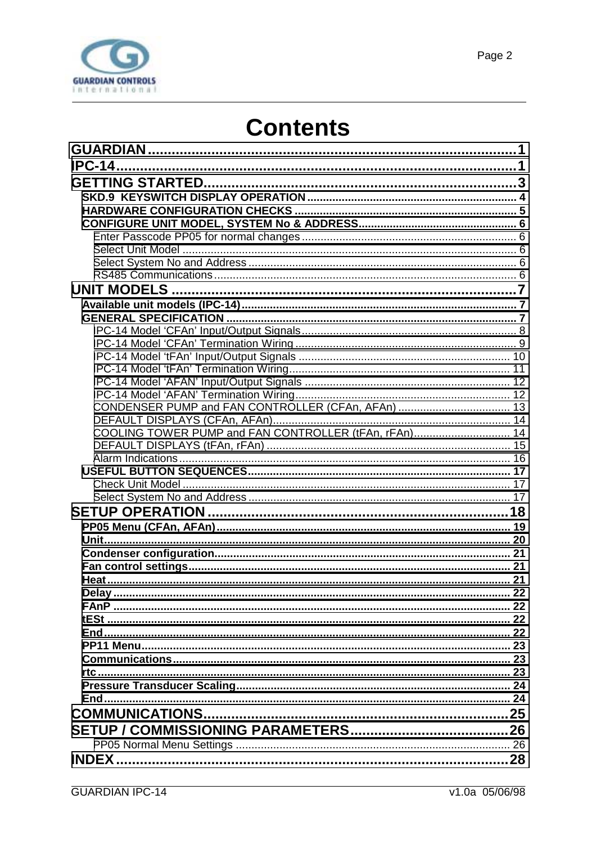

# **Contents**

| COOLING TOWER PUMP and FAN CONTROLLER (tFAn, rFAn) 14 |    |
|-------------------------------------------------------|----|
|                                                       |    |
|                                                       |    |
|                                                       |    |
|                                                       |    |
|                                                       |    |
|                                                       |    |
|                                                       |    |
|                                                       |    |
|                                                       |    |
|                                                       |    |
|                                                       |    |
| <b>Delay</b>                                          | っっ |
|                                                       |    |
|                                                       |    |
|                                                       |    |
|                                                       |    |
|                                                       |    |
|                                                       |    |
|                                                       |    |
| <b>End</b>                                            |    |
|                                                       |    |
|                                                       |    |
|                                                       |    |
|                                                       |    |
|                                                       |    |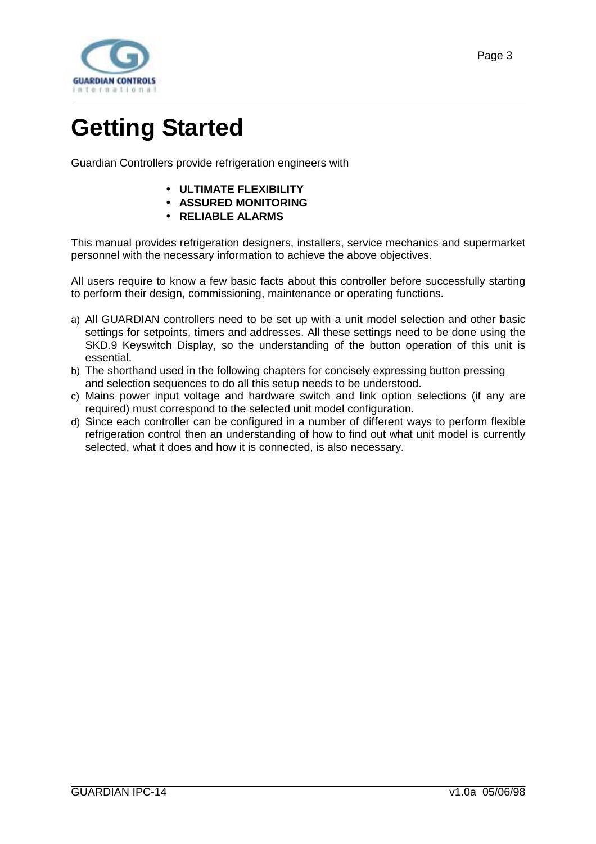<span id="page-2-0"></span>

# **Getting Started**

Guardian Controllers provide refrigeration engineers with

- **ULTIMATE FLEXIBILITY**
- **ASSURED MONITORING**
- **RELIABLE ALARMS**

This manual provides refrigeration designers, installers, service mechanics and supermarket personnel with the necessary information to achieve the above objectives.

All users require to know a few basic facts about this controller before successfully starting to perform their design, commissioning, maintenance or operating functions.

- a) All GUARDIAN controllers need to be set up with a unit model selection and other basic settings for setpoints, timers and addresses. All these settings need to be done using the SKD.9 Keyswitch Display, so the understanding of the button operation of this unit is essential.
- b) The shorthand used in the following chapters for concisely expressing button pressing and selection sequences to do all this setup needs to be understood.
- c) Mains power input voltage and hardware switch and link option selections (if any are required) must correspond to the selected unit model configuration.
- d) Since each controller can be configured in a number of different ways to perform flexible refrigeration control then an understanding of how to find out what unit model is currently selected, what it does and how it is connected, is also necessary.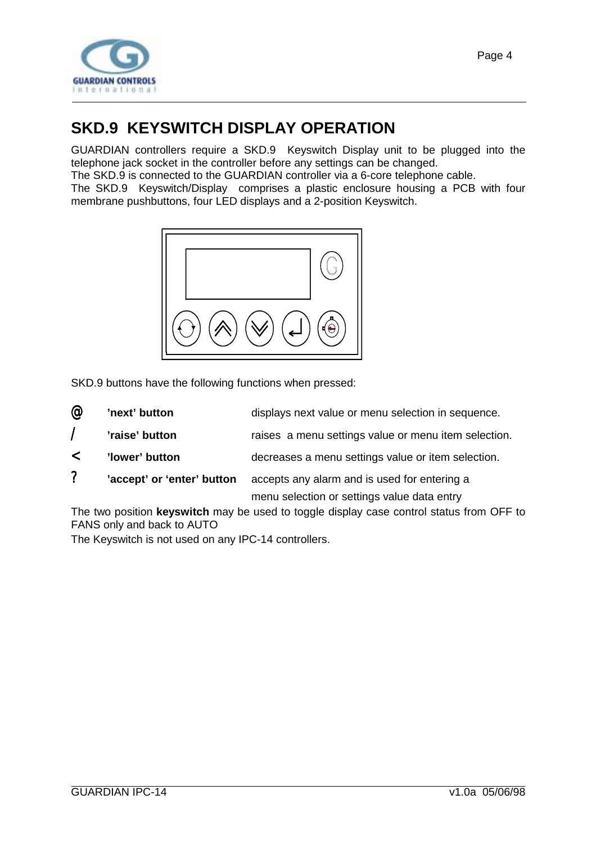<span id="page-3-0"></span>

### **SKD.9 KEYSWITCH DISPLAY OPERATION**

GUARDIAN controllers require a SKD.9 Keyswitch Display unit to be plugged into the telephone jack socket in the controller before any settings can be changed.

The SKD.9 is connected to the GUARDIAN controller via a 6-core telephone cable.

The SKD.9 Keyswitch/Display comprises a plastic enclosure housing a PCB with four membrane pushbuttons, four LED displays and a 2-position Keyswitch.



SKD.9 buttons have the following functions when pressed:

| @                        | 'next' button              | displays next value or menu selection in sequence.   |
|--------------------------|----------------------------|------------------------------------------------------|
| $\overline{\phantom{a}}$ | 'raise' button             | raises a menu settings value or menu item selection. |
| $\lt$                    | 'lower' button             | decreases a menu settings value or item selection.   |
| ?                        | 'accept' or 'enter' button | accepts any alarm and is used for entering a         |
|                          |                            | menu selection or settings value data entry          |

The two position **keyswitch** may be used to toggle display case control status from OFF to FANS only and back to AUTO

The Keyswitch is not used on any IPC-14 controllers.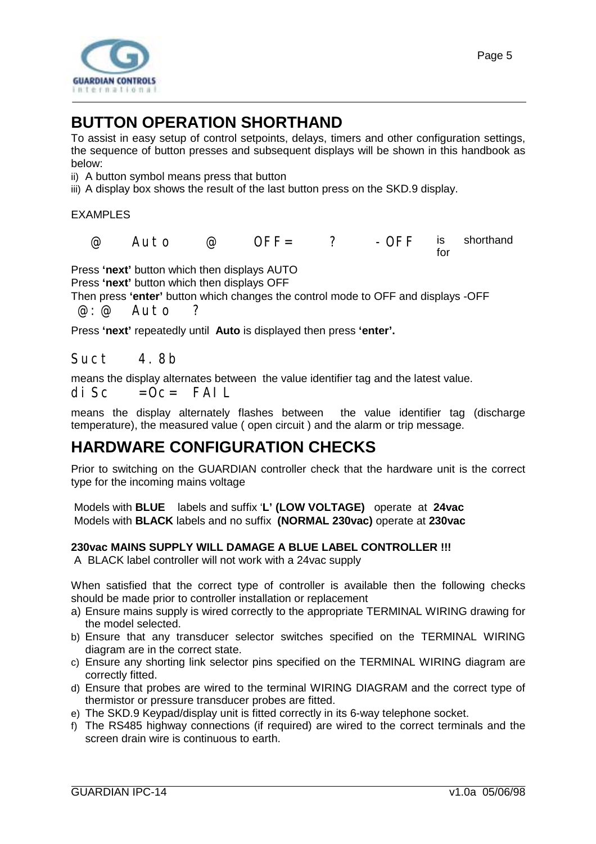<span id="page-4-0"></span>

### **BUTTON OPERATION SHORTHAND**

To assist in easy setup of control setpoints, delays, timers and other configuration settings, the sequence of button presses and subsequent displays will be shown in this handbook as below:

ii) A button symbol means press that button

iii) A display box shows the result of the last button press on the SKD.9 display.

EXAMPLES

 @ Auto @ OFF= ? -OFF is shorthand for

Press **'next'** button which then displays AUTO

Press **'next'** button which then displays OFF

Then press **'enter'** button which changes the control mode to OFF and displays -OFF @:@ Auto ?

Press **'next'** repeatedly until **Auto** is displayed then press **'enter'.**

#### Suct 4.8b

means the display alternates between the value identifier tag and the latest value.

 $di$  Sc =  $0c =$  FAIL

means the display alternately flashes between the value identifier tag (discharge temperature), the measured value ( open circuit ) and the alarm or trip message.

### **HARDWARE CONFIGURATION CHECKS**

Prior to switching on the GUARDIAN controller check that the hardware unit is the correct type for the incoming mains voltage

 Models with **BLUE** labels and suffix '**L' (LOW VOLTAGE)** operate at **24vac** Models with **BLACK** labels and no suffix **(NORMAL 230vac)** operate at **230vac**

#### **230vac MAINS SUPPLY WILL DAMAGE A BLUE LABEL CONTROLLER !!!**

A BLACK label controller will not work with a 24vac supply

When satisfied that the correct type of controller is available then the following checks should be made prior to controller installation or replacement

- a) Ensure mains supply is wired correctly to the appropriate TERMINAL WIRING drawing for the model selected.
- b) Ensure that any transducer selector switches specified on the TERMINAL WIRING diagram are in the correct state.
- c) Ensure any shorting link selector pins specified on the TERMINAL WIRING diagram are correctly fitted.
- d) Ensure that probes are wired to the terminal WIRING DIAGRAM and the correct type of thermistor or pressure transducer probes are fitted.
- e) The SKD.9 Keypad/display unit is fitted correctly in its 6-way telephone socket.
- f) The RS485 highway connections (if required) are wired to the correct terminals and the screen drain wire is continuous to earth.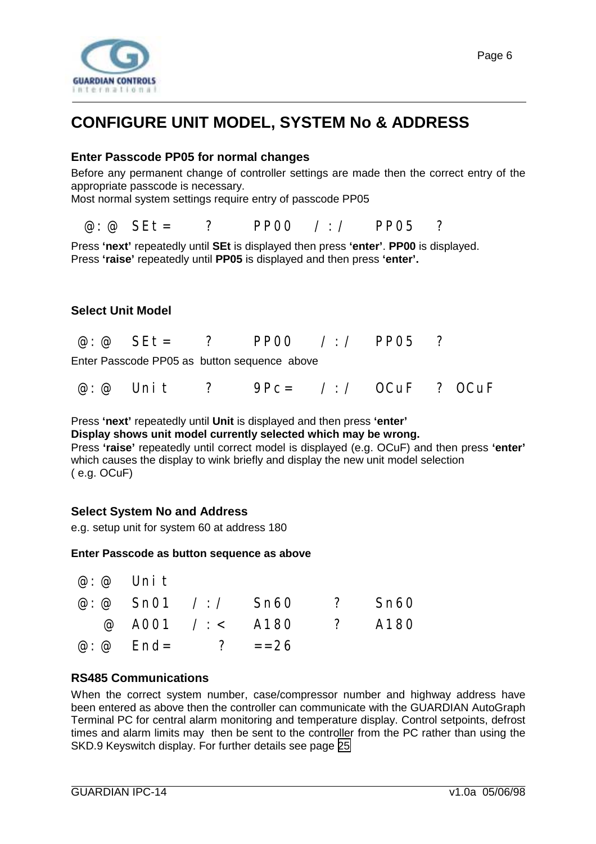<span id="page-5-0"></span>

### **CONFIGURE UNIT MODEL, SYSTEM No & ADDRESS**

#### **Enter Passcode PP05 for normal changes**

Before any permanent change of controller settings are made then the correct entry of the appropriate passcode is necessary.

Most normal system settings require entry of passcode PP05

@:@ SEt= ? PP00 /:/ PP05 ?

Press **'next'** repeatedly until **SEt** is displayed then press **'enter'**. **PP00** is displayed. Press **'raise'** repeatedly until **PP05** is displayed and then press **'enter'.**

#### **Select Unit Model**

| PP00 $/$ : / PP05 ? |  | $\omega$ $\omega$ SEt = |  |  |  |  |  |
|---------------------|--|-------------------------|--|--|--|--|--|
|---------------------|--|-------------------------|--|--|--|--|--|

Enter Passcode PP05 as button sequence above

|  |  |  |  |  |  | @ : @ Unit ? 9Pc= / : / OCuF ? OCuF |
|--|--|--|--|--|--|-------------------------------------|
|--|--|--|--|--|--|-------------------------------------|

Press **'next'** repeatedly until **Unit** is displayed and then press **'enter'**

**Display shows unit model currently selected which may be wrong.**

Press **'raise'** repeatedly until correct model is displayed (e.g. OCuF) and then press **'enter'** which causes the display to wink briefly and display the new unit model selection ( e.g. OCuF)

#### **Select System No and Address**

e.g. setup unit for system 60 at address 180

#### **Enter Passcode as button sequence as above**

| $@: @$ Unit |                                 |                                  |  |
|-------------|---------------------------------|----------------------------------|--|
|             |                                 | @: @ $Sn01$ /: / $Sn60$ ? $Sn60$ |  |
|             |                                 | @ A001 /: < A180 ? A180          |  |
|             | $\omega$ : $\omega$ End= ? ==26 |                                  |  |

#### **RS485 Communications**

When the correct system number, case/compressor number and highway address have been entered as above then the controller can communicate with the GUARDIAN AutoGraph Terminal PC for central alarm monitoring and temperature display. Control setpoints, defrost times and alarm limits may then be sent to the controller from the PC rather than using the SKD.9 Keyswitch display. For further details see page [25](#page-24-0)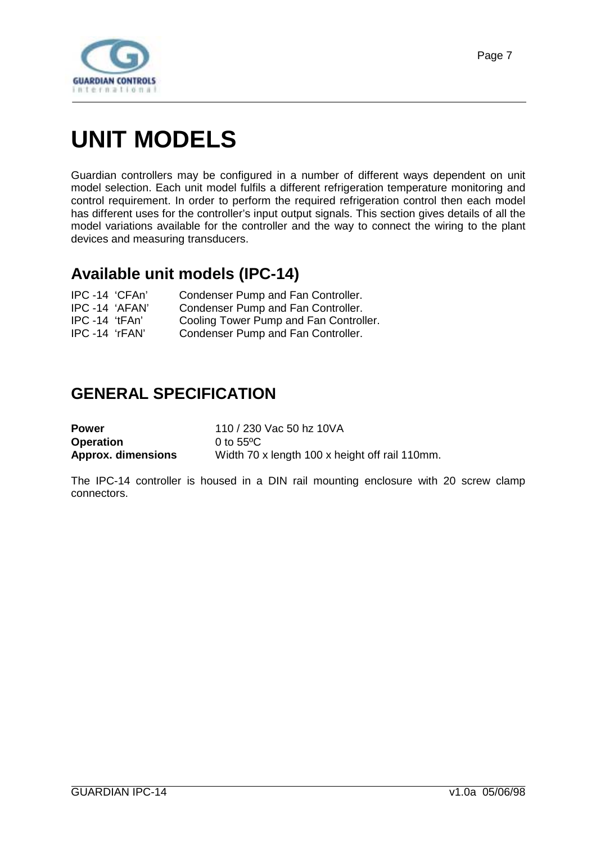<span id="page-6-0"></span>

# **UNIT MODELS**

Guardian controllers may be configured in a number of different ways dependent on unit model selection. Each unit model fulfils a different refrigeration temperature monitoring and control requirement. In order to perform the required refrigeration control then each model has different uses for the controller's input output signals. This section gives details of all the model variations available for the controller and the way to connect the wiring to the plant devices and measuring transducers.

### **Available unit models (IPC-14)**

| IPC -14 'CFAn'   | Condenser Pump and Fan Controller.     |
|------------------|----------------------------------------|
| IPC -14 'AFAN'   | Condenser Pump and Fan Controller.     |
| $IPC -14 'tFAn'$ | Cooling Tower Pump and Fan Controller. |
| IPC -14 'rFAN'   | Condenser Pump and Fan Controller.     |

### **GENERAL SPECIFICATION**

| <b>Power</b>              | 110 / 230 Vac 50 hz 10VA                       |
|---------------------------|------------------------------------------------|
| <b>Operation</b>          | 0 to $55^{\circ}$ C                            |
| <b>Approx. dimensions</b> | Width 70 x length 100 x height off rail 110mm. |

The IPC-14 controller is housed in a DIN rail mounting enclosure with 20 screw clamp connectors.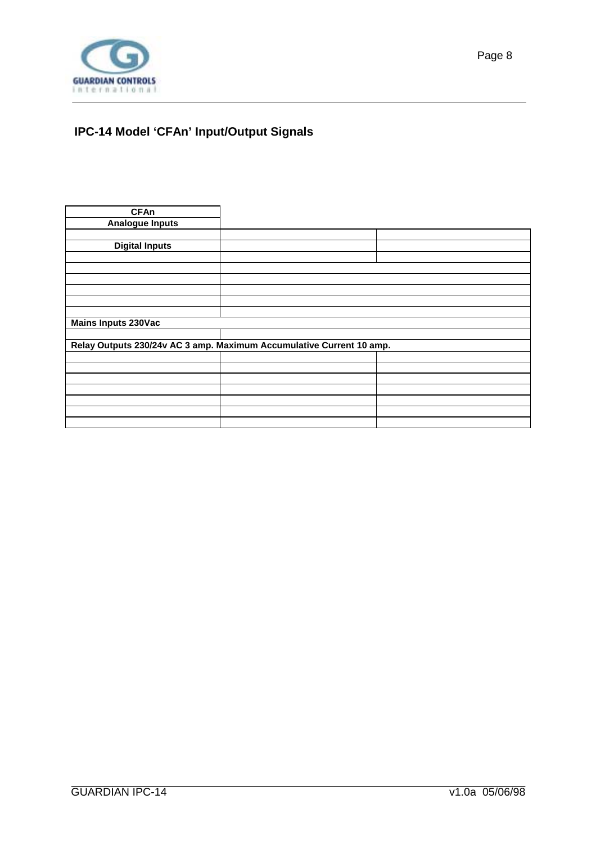<span id="page-7-0"></span>

#### **IPC-14 Model 'CFAn' Input/Output Signals**

| <b>CFAn</b>                                                          |  |  |
|----------------------------------------------------------------------|--|--|
| <b>Analogue Inputs</b>                                               |  |  |
|                                                                      |  |  |
| <b>Digital Inputs</b>                                                |  |  |
|                                                                      |  |  |
|                                                                      |  |  |
|                                                                      |  |  |
|                                                                      |  |  |
|                                                                      |  |  |
|                                                                      |  |  |
| <b>Mains Inputs 230Vac</b>                                           |  |  |
|                                                                      |  |  |
| Relay Outputs 230/24v AC 3 amp. Maximum Accumulative Current 10 amp. |  |  |
|                                                                      |  |  |
|                                                                      |  |  |
|                                                                      |  |  |
|                                                                      |  |  |
|                                                                      |  |  |
|                                                                      |  |  |
|                                                                      |  |  |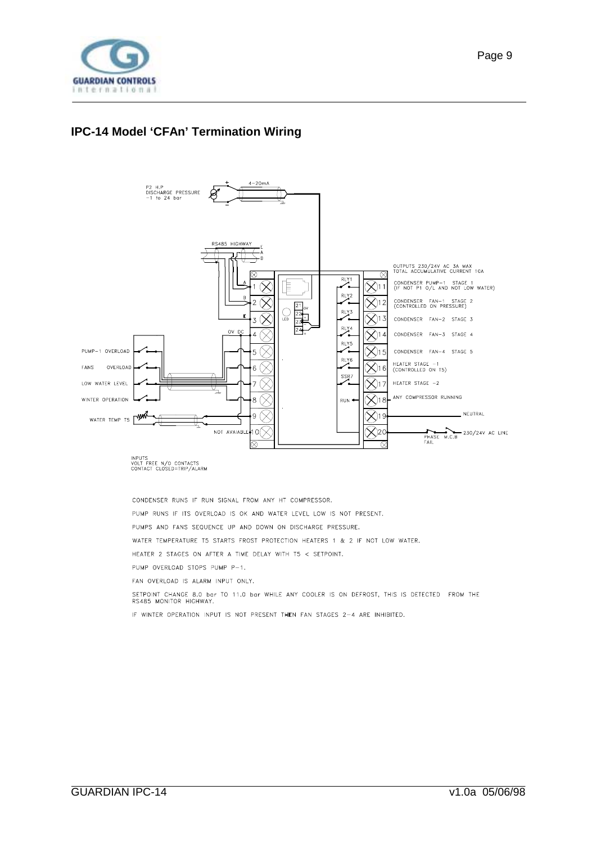<span id="page-8-0"></span>

#### **IPC-14 Model 'CFAn' Termination Wiring**



INPUTS<br>VOLT FREE N/O CONTACTS<br>CONTACT CLOSED=TRIP/ALARM

CONDENSER RUNS IF RUN SIGNAL FROM ANY HT COMPRESSOR.

PUMP RUNS IF ITS OVERLOAD IS OK AND WATER LEVEL LOW IS NOT PRESENT.

PUMPS AND FANS SEQUENCE UP AND DOWN ON DISCHARGE PRESSURE.

WATER TEMPERATURE T5 STARTS FROST PROTECTION HEATERS 1 & 2 IF NOT LOW WATER.

HEATER 2 STAGES ON AFTER A TIME DELAY WITH T5 < SETPOINT.

PUMP OVERLOAD STOPS PUMP P-1.

FAN OVERLOAD IS ALARM INPUT ONLY.

SETPOINT CHANGE 8.0 bar TO 11.0 bar WHILE ANY COOLER IS ON DEFROST, THIS IS DETECTED FROM THE RS485 MONITOR HIGHWAY.

IF WINTER OPERATION INPUT IS NOT PRESENT THEN FAN STAGES 2-4 ARE INHIBITED.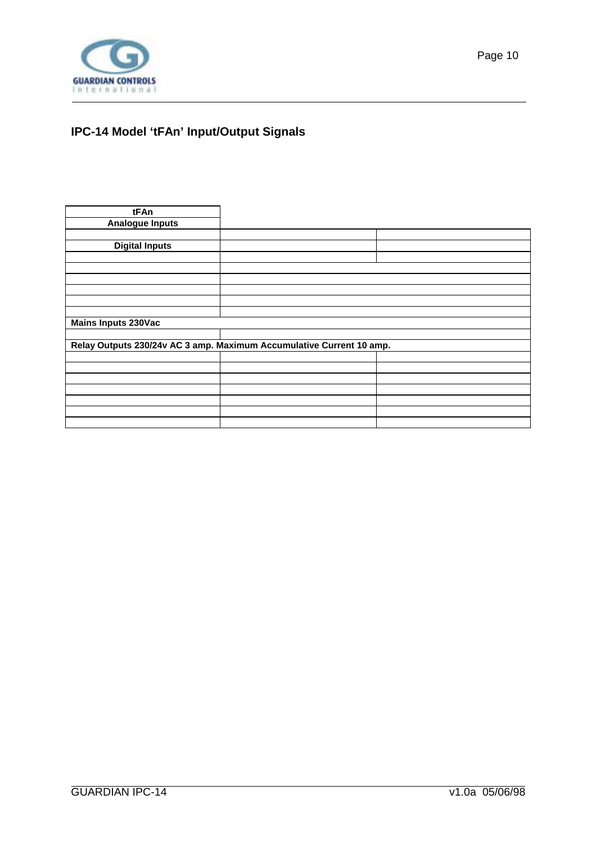<span id="page-9-0"></span>

#### **IPC-14 Model 'tFAn' Input/Output Signals**

| tFAn                                                                 |  |  |
|----------------------------------------------------------------------|--|--|
| <b>Analogue Inputs</b>                                               |  |  |
|                                                                      |  |  |
| <b>Digital Inputs</b>                                                |  |  |
|                                                                      |  |  |
|                                                                      |  |  |
|                                                                      |  |  |
|                                                                      |  |  |
|                                                                      |  |  |
|                                                                      |  |  |
| <b>Mains Inputs 230Vac</b>                                           |  |  |
|                                                                      |  |  |
| Relay Outputs 230/24v AC 3 amp. Maximum Accumulative Current 10 amp. |  |  |
|                                                                      |  |  |
|                                                                      |  |  |
|                                                                      |  |  |
|                                                                      |  |  |
|                                                                      |  |  |
|                                                                      |  |  |
|                                                                      |  |  |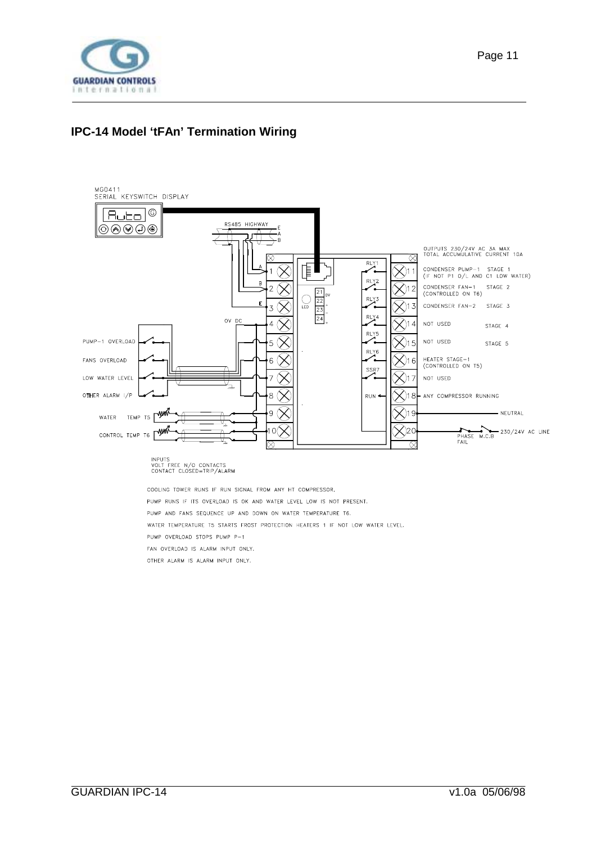<span id="page-10-0"></span>

#### **IPC-14 Model 'tFAn' Termination Wiring**



PUMP AND FANS SEQUENCE UP AND DOWN ON WATER TEMPERATURE T6.

WATER TEMPERATURE T5 STARTS FROST PROTECTION HEATERS 1 IF NOT LOW WATER LEVEL.

PUMP OVERLOAD STOPS PUMP P-1

FAN OVERLOAD IS ALARM INPUT ONLY.

OTHER ALARM IS ALARM INPUT ONLY.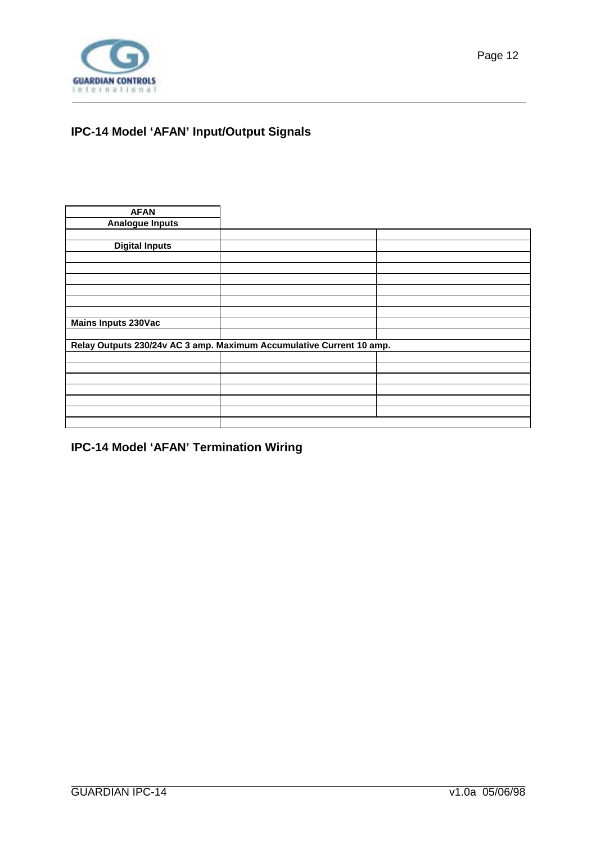<span id="page-11-0"></span>

#### **IPC-14 Model 'AFAN' Input/Output Signals**

| <b>AFAN</b>                |                                                                      |  |
|----------------------------|----------------------------------------------------------------------|--|
| <b>Analogue Inputs</b>     |                                                                      |  |
|                            |                                                                      |  |
| <b>Digital Inputs</b>      |                                                                      |  |
|                            |                                                                      |  |
|                            |                                                                      |  |
|                            |                                                                      |  |
|                            |                                                                      |  |
|                            |                                                                      |  |
|                            |                                                                      |  |
| <b>Mains Inputs 230Vac</b> |                                                                      |  |
|                            |                                                                      |  |
|                            | Relay Outputs 230/24v AC 3 amp. Maximum Accumulative Current 10 amp. |  |
|                            |                                                                      |  |
|                            |                                                                      |  |
|                            |                                                                      |  |
|                            |                                                                      |  |
|                            |                                                                      |  |
|                            |                                                                      |  |
|                            |                                                                      |  |

**IPC-14 Model 'AFAN' Termination Wiring**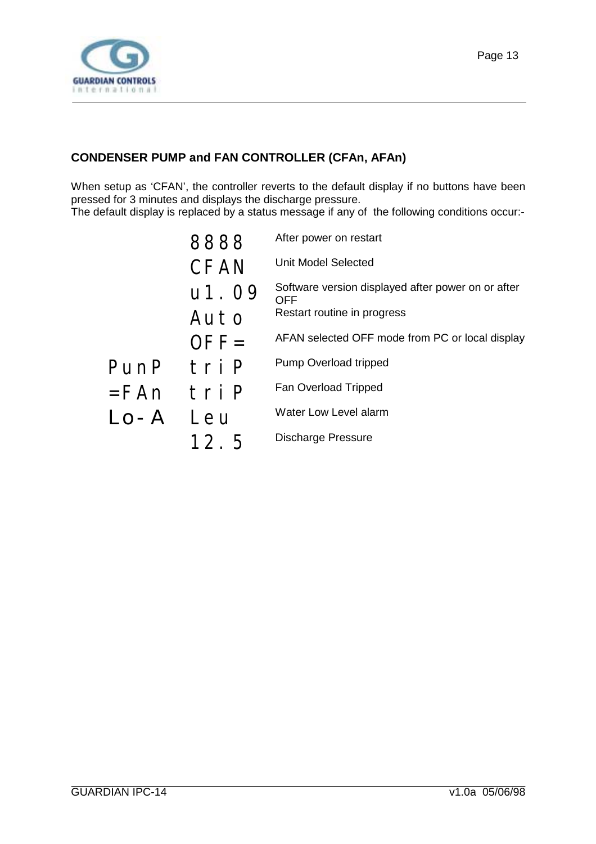<span id="page-12-0"></span>

#### **CONDENSER PUMP and FAN CONTROLLER (CFAn, AFAn)**

When setup as 'CFAN', the controller reverts to the default display if no buttons have been pressed for 3 minutes and displays the discharge pressure.

The default display is replaced by a status message if any of the following conditions occur:-

|         | 8888        | After power on restart                                           |
|---------|-------------|------------------------------------------------------------------|
|         | <b>CFAN</b> | <b>Unit Model Selected</b>                                       |
|         | u1.09       | Software version displayed after power on or after<br><b>OFF</b> |
|         | Auto        | Restart routine in progress                                      |
|         | $OFF=$      | AFAN selected OFF mode from PC or local display                  |
| PunP    | tri P       | Pump Overload tripped                                            |
| $=$ FAn | tri P       | Fan Overload Tripped                                             |
| $LO-A$  | Leu         | Water Low Level alarm                                            |
|         | 12.5        | <b>Discharge Pressure</b>                                        |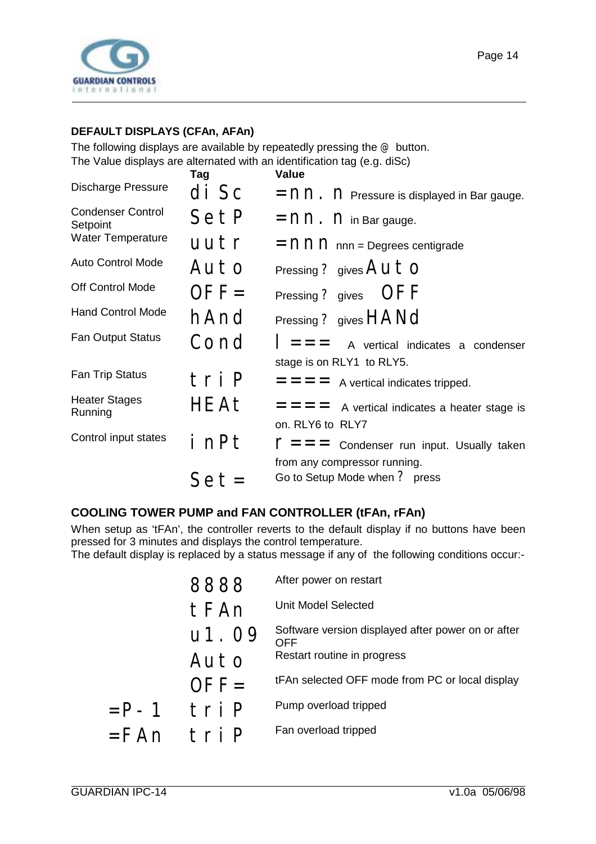<span id="page-13-0"></span>

#### **DEFAULT DISPLAYS (CFAn, AFAn)**

The following displays are available by repeatedly pressing the @ button. The Value displays are alternated with an identification tag (e.g. diSc)

|                                      | Tag    | <b>Value</b>                                                  |
|--------------------------------------|--------|---------------------------------------------------------------|
| <b>Discharge Pressure</b>            | di Sc  | $=$ nn. n Pressure is displayed in Bar gauge.                 |
| <b>Condenser Control</b><br>Setpoint | SetP   | $=$ nn. n in Bar gauge.                                       |
| <b>Water Temperature</b>             | uutr   | $=$ nn $\cap$ nnn = Degrees centigrade                        |
| <b>Auto Control Mode</b>             | Auto   | Pressing ? gives $AutO$                                       |
| Off Control Mode                     | $OFF=$ | Pressing ? gives OFF                                          |
| <b>Hand Control Mode</b>             | hAnd   | Pressing ? gives HANd                                         |
| <b>Fan Output Status</b>             | Cond   | $\vert$ = = $\vert$ A vertical indicates a condenser          |
|                                      |        | stage is on RLY1 to RLY5.                                     |
| Fan Trip Status                      | tri P  | $=$ = $=$ A vertical indicates tripped.                       |
| <b>Heater Stages</b><br>Running      | HEAt   | $=$ = $=$ A vertical indicates a heater stage is              |
|                                      |        | on. RLY6 to RLY7                                              |
| Control input states                 | i nPt  | $\Gamma = \Gamma = \Gamma$ Condenser run input. Usually taken |
|                                      |        | from any compressor running.                                  |
|                                      | Set=   | Go to Setup Mode when ? press                                 |

#### **COOLING TOWER PUMP and FAN CONTROLLER (tFAn, rFAn)**

When setup as 'tFAn', the controller reverts to the default display if no buttons have been pressed for 3 minutes and displays the control temperature.

The default display is replaced by a status message if any of the following conditions occur:-

|         |         | After power on restart                                           |
|---------|---------|------------------------------------------------------------------|
|         | tFAn    | Unit Model Selected                                              |
|         | u1. 09  | Software version displayed after power on or after<br><b>OFF</b> |
|         | Auto    | Restart routine in progress                                      |
|         | $OFE =$ | tFAn selected OFF mode from PC or local display                  |
| $=$ P-1 | tri P   | Pump overload tripped                                            |
| $=$ FAn | tri P   | Fan overload tripped                                             |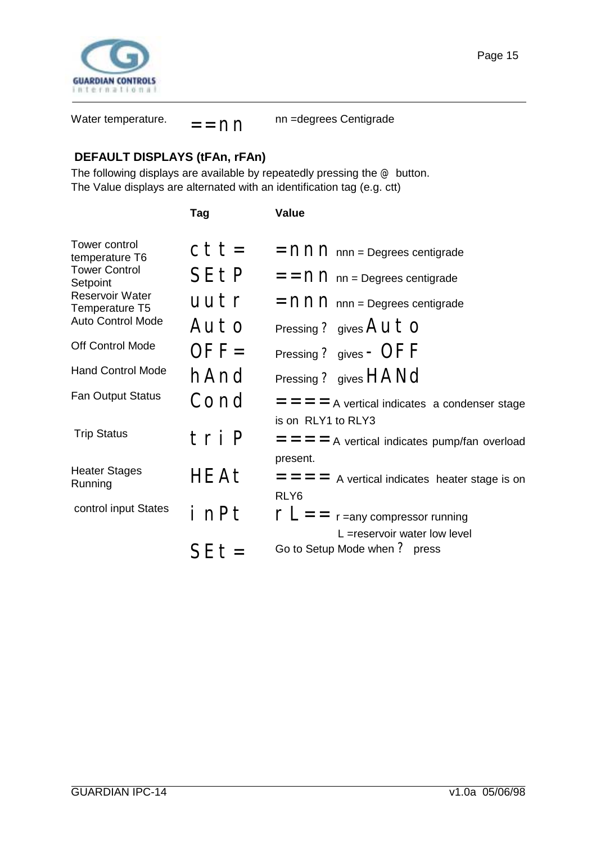<span id="page-14-0"></span>

Water temperature.  $=$  =  $\cap$ nn =degrees Centigrade

#### **DEFAULT DISPLAYS (tFAn, rFAn)**

The following displays are available by repeatedly pressing the  $@$  button. The Value displays are alternated with an identification tag (e.g. ctt)

|                                          | Tag         | <b>Value</b>                                                                 |
|------------------------------------------|-------------|------------------------------------------------------------------------------|
| Tower control<br>temperature T6          | $ctt =$     | $=$ nn $\cap$ nnn = Degrees centigrade                                       |
| <b>Tower Control</b><br>Setpoint         | <b>SEtP</b> | $=$ = $\cap$ $\cap$ nn = Degrees centigrade                                  |
| <b>Reservoir Water</b><br>Temperature T5 | uutr        | $=$ nn $\cap$ nnn = Degrees centigrade                                       |
| <b>Auto Control Mode</b>                 | Auto        | Pressing ? gives $Auto$                                                      |
| <b>Off Control Mode</b>                  | $OFF=$      | Pressing ? gives $-$ OFF                                                     |
| <b>Hand Control Mode</b>                 | hAnd        | Pressing ? gives HANd                                                        |
| <b>Fan Output Status</b>                 | Cond        | $=$ $=$ $=$ $=$ A vertical indicates a condenser stage<br>is on RLY1 to RLY3 |
| <b>Trip Status</b>                       | tri P       | $=$ $=$ $=$ $=$ A vertical indicates pump/fan overload<br>present.           |
| <b>Heater Stages</b><br>Running          | <b>HEAt</b> | $=$ = $=$ A vertical indicates heater stage is on<br>RLY <sub>6</sub>        |
| control input States                     | i nPt       | $\Gamma L =$ r = any compressor running<br>$L =$ reservoir water low level   |
|                                          | $S E t =$   | Go to Setup Mode when ? press                                                |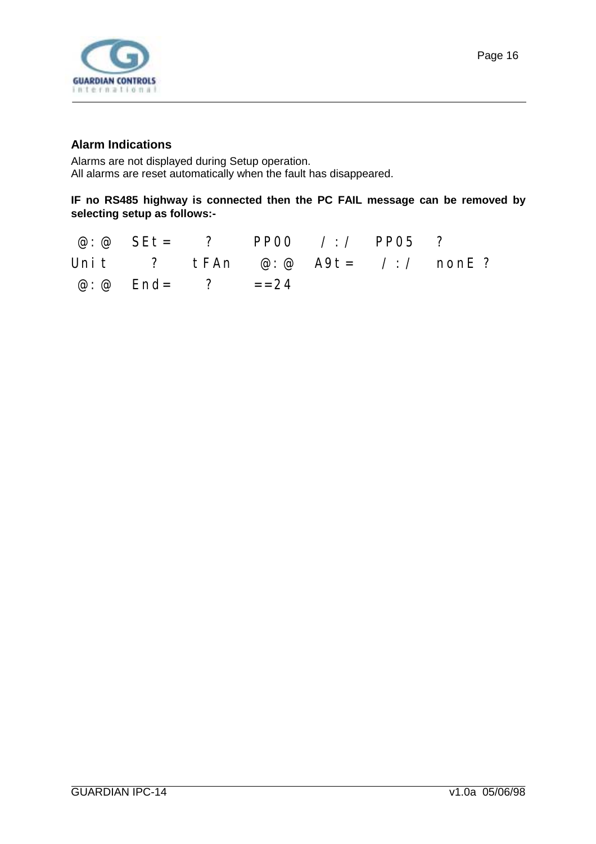<span id="page-15-0"></span>

Alarms are not displayed during Setup operation. All alarms are reset automatically when the fault has disappeared.

#### **IF no RS485 highway is connected then the PC FAIL message can be removed by selecting setup as follows:-**

|                                 | @:@ SEt= ? PP00 /:/ PP05 ? |  |                                                                                                                             |
|---------------------------------|----------------------------|--|-----------------------------------------------------------------------------------------------------------------------------|
|                                 |                            |  | Unit ? $\mathsf{tFAn} \quad \mathcal{Q}: \mathcal{Q} \quad \mathsf{A9t} = \mathcal{I}:\mathcal{I} \quad \mathsf{nonE} \; ?$ |
| $\omega$ : $\omega$ End= ? ==24 |                            |  |                                                                                                                             |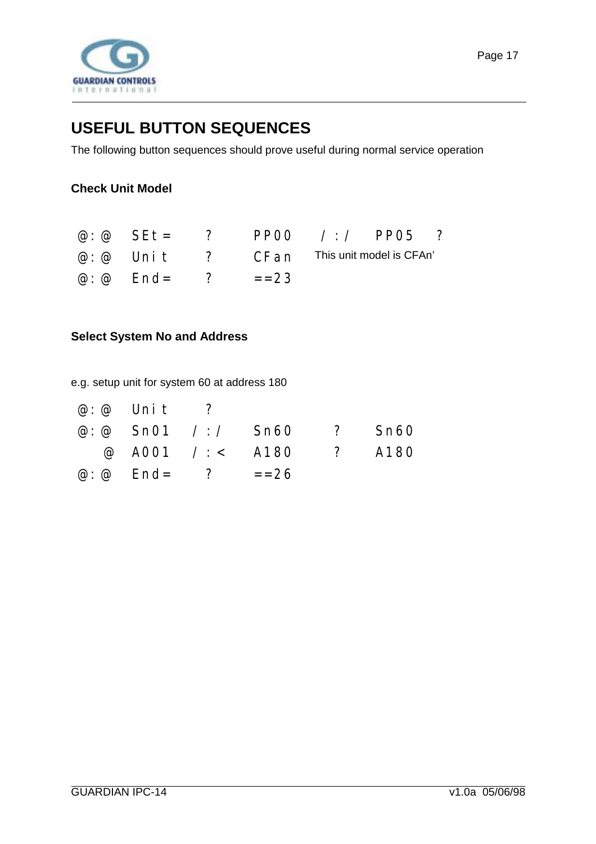<span id="page-16-0"></span>

### **USEFUL BUTTON SEQUENCES**

The following button sequences should prove useful during normal service operation

#### **Check Unit Model**

|                                 | @ $\omega$ SEt = ? PP00 / / PP05 ?                         |  |  |
|---------------------------------|------------------------------------------------------------|--|--|
|                                 | $\varphi$ : $\varphi$ Unit ? CFan This unit model is CFAn' |  |  |
| $\omega$ : $\omega$ End= ? ==23 |                                                            |  |  |

#### **Select System No and Address**

e.g. setup unit for system 60 at address 180

| $\omega$ : $\omega$ Unit ?      |                           |  |
|---------------------------------|---------------------------|--|
|                                 | @: @ Sn01 /:/ Sn60 ? Sn60 |  |
|                                 | @ A001 /: < A180 ? A180   |  |
| $\omega$ : $\omega$ End= ? ==26 |                           |  |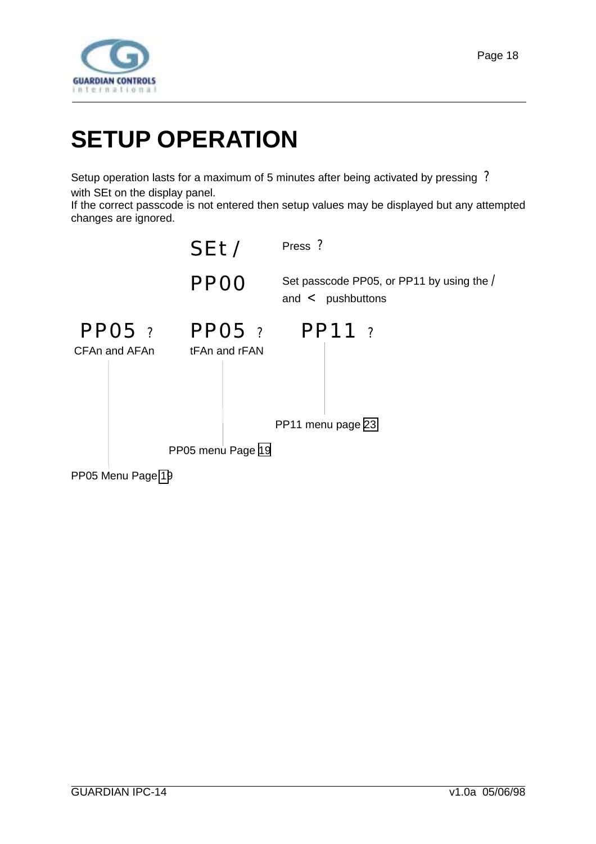<span id="page-17-0"></span>

# **SETUP OPERATION**

Setup operation lasts for a maximum of 5 minutes after being activated by pressing ? with SEt on the display panel.

If the correct passcode is not entered then setup values may be displayed but any attempted changes are ignored.

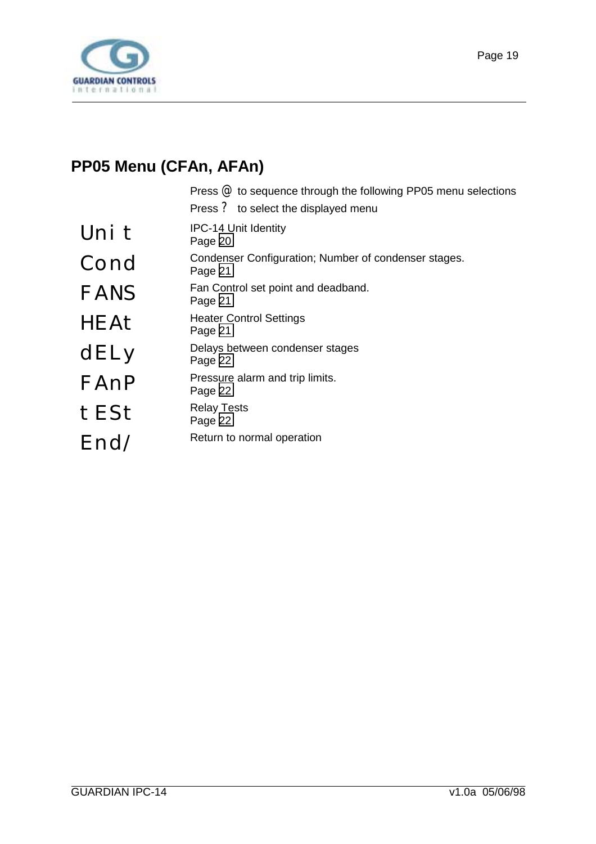<span id="page-18-0"></span>

### **PP05 Menu (CFAn, AFAn)**

Press @ to sequence through the following PP05 menu selections Press ? to select the displayed menu

| Uni t       | <b>IPC-14 Unit Identity</b><br>Page 20                          |
|-------------|-----------------------------------------------------------------|
| Cond        | Condenser Configuration; Number of condenser stages.<br>Page 21 |
| <b>FANS</b> | Fan Control set point and deadband.<br>Page 21                  |
| HEAt        | <b>Heater Control Settings</b><br>Page 21                       |
| dELy        | Delays between condenser stages<br>Page 22                      |
| FAnP        | Pressure alarm and trip limits.<br>Page 22                      |
| tESt        | <b>Relay Tests</b><br>Page 22                                   |
| End/        | Return to normal operation                                      |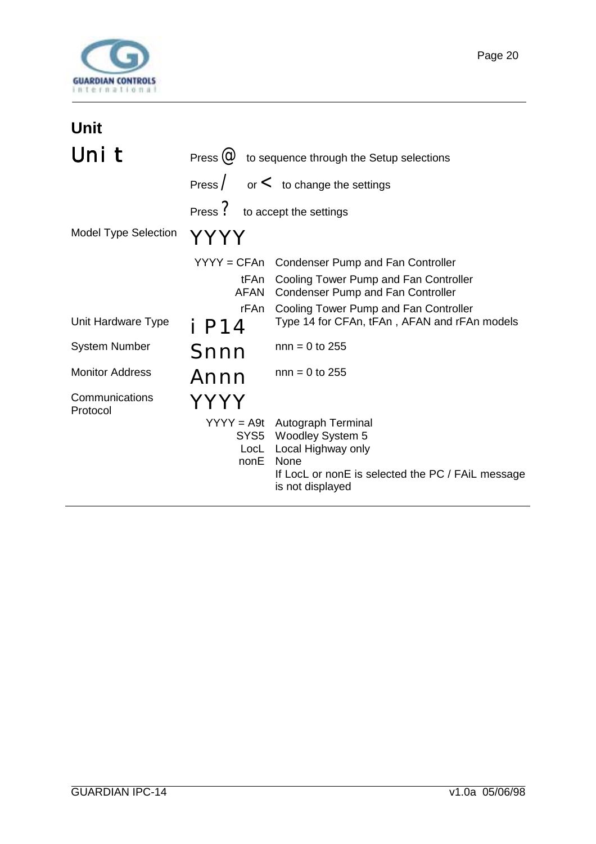<span id="page-19-0"></span>

| Unit                        |                                |                                                                                                                                                                           |
|-----------------------------|--------------------------------|---------------------------------------------------------------------------------------------------------------------------------------------------------------------------|
| Uni t                       |                                | Press $\omega$ to sequence through the Setup selections                                                                                                                   |
|                             |                                | Press $\sim$ or $\lt$ to change the settings                                                                                                                              |
|                             | Press ? to accept the settings |                                                                                                                                                                           |
| <b>Model Type Selection</b> | YYYY                           |                                                                                                                                                                           |
|                             | $YYYY = CFAn$                  | <b>Condenser Pump and Fan Controller</b>                                                                                                                                  |
|                             | tFAn<br>AFAN                   | Cooling Tower Pump and Fan Controller<br><b>Condenser Pump and Fan Controller</b>                                                                                         |
| Unit Hardware Type          | rFAn<br>i P14                  | Cooling Tower Pump and Fan Controller<br>Type 14 for CFAn, tFAn, AFAN and rFAn models                                                                                     |
| <b>System Number</b>        | Snnn                           | $nnn = 0$ to 255                                                                                                                                                          |
| <b>Monitor Address</b>      | Annn                           | $nnn = 0$ to 255                                                                                                                                                          |
| Communications<br>Protocol  |                                |                                                                                                                                                                           |
|                             | nonE                           | YYYY = A9t Autograph Terminal<br>SYS5 Woodley System 5<br>LocL Local Highway only<br><b>None</b><br>If LocL or nonE is selected the PC / FAiL message<br>is not displayed |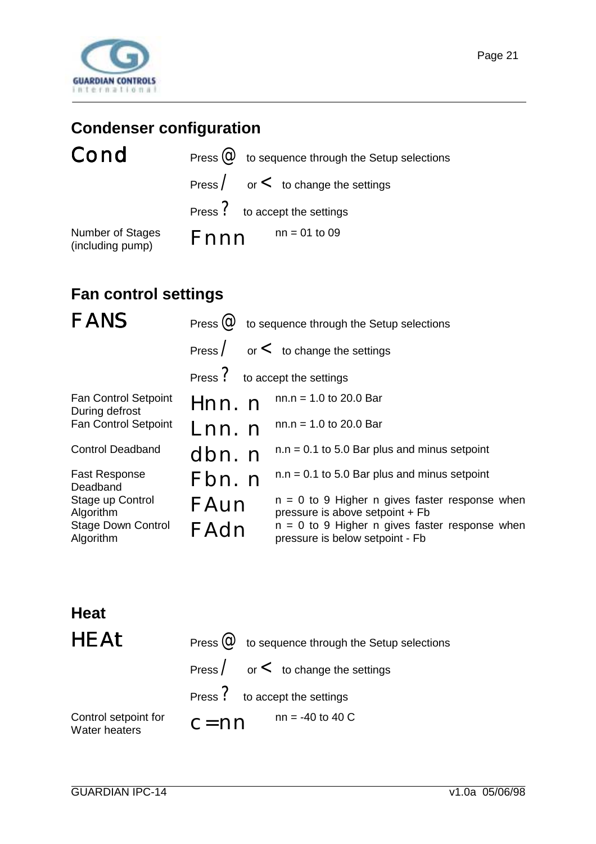<span id="page-20-0"></span>

# **Condenser configuration**

# Cond

| Cond                                 | Press $\omega$ to sequence through the Setup selections |
|--------------------------------------|---------------------------------------------------------|
|                                      | Press $\angle$ or $\lt$ to change the settings          |
|                                      | Press ? to accept the settings                          |
| Number of Stages<br>(including pump) | $nn = 01$ to 09<br><b>F</b> nnn                         |

# **Fan control settings**

| <b>FANS</b>                                                             |                                | Press $\omega$ to sequence through the Setup selections                                                                                                                    |
|-------------------------------------------------------------------------|--------------------------------|----------------------------------------------------------------------------------------------------------------------------------------------------------------------------|
|                                                                         |                                | Press $\sim$ or $\lt$ to change the settings                                                                                                                               |
|                                                                         | Press ? to accept the settings |                                                                                                                                                                            |
| <b>Fan Control Setpoint</b><br>During defrost                           | Hnn. n                         | $nn.n = 1.0$ to 20.0 Bar                                                                                                                                                   |
| Fan Control Setpoint                                                    | Lnn. n                         | $nn.n = 1.0$ to 20.0 Bar                                                                                                                                                   |
| <b>Control Deadband</b>                                                 | dbn. n                         | $n.n = 0.1$ to 5.0 Bar plus and minus setpoint                                                                                                                             |
| <b>Fast Response</b><br>Deadband                                        | Fbn. n                         | $n.n = 0.1$ to 5.0 Bar plus and minus setpoint                                                                                                                             |
| Stage up Control<br>Algorithm<br><b>Stage Down Control</b><br>Algorithm | FAun<br>FAdn                   | $n = 0$ to 9 Higher n gives faster response when<br>pressure is above setpoint + Fb<br>$n = 0$ to 9 Higher n gives faster response when<br>pressure is below setpoint - Fb |

### **Heat**

| <b>HEAt</b>                           | Press $\omega$ to sequence through the Setup selections |
|---------------------------------------|---------------------------------------------------------|
|                                       | Press $\angle$ or $\lt$ to change the settings          |
|                                       | Press ? to accept the settings                          |
| Control setpoint for<br>Water heaters | $nn = -40$ to 40 C<br>$c = nn$                          |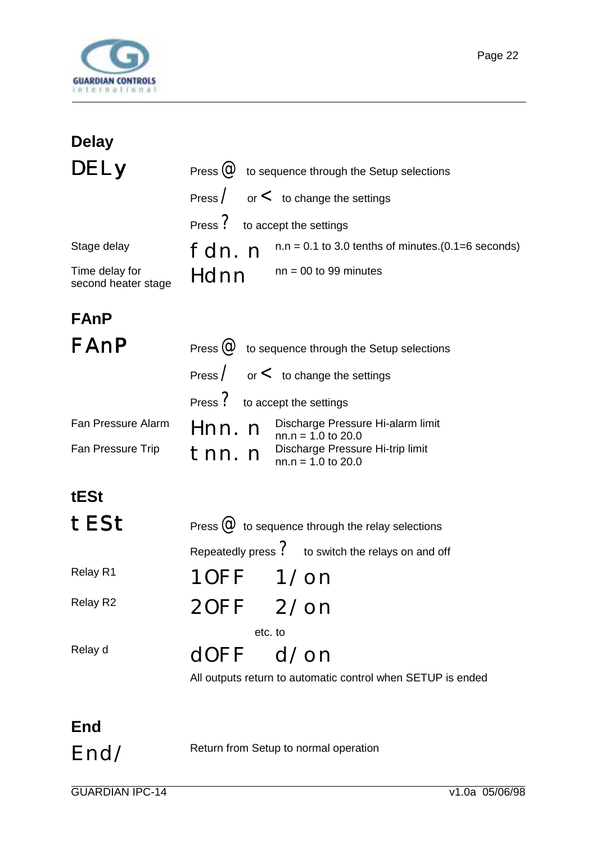<span id="page-21-0"></span>

| <b>Delay</b>                          |                                                                     |
|---------------------------------------|---------------------------------------------------------------------|
| <b>DELY</b>                           | Press $\omega$ to sequence through the Setup selections             |
|                                       | Press $\sim$ or $\lt$ to change the settings                        |
|                                       | Press ? to accept the settings                                      |
| Stage delay                           | $n.n = 0.1$ to 3.0 tenths of minutes.(0.1=6 seconds)<br>fdn. n      |
| Time delay for<br>second heater stage | $nn = 00$ to 99 minutes<br>Hdnn                                     |
| <b>FAnP</b>                           |                                                                     |
| FAnP                                  | Press $\omega$ to sequence through the Setup selections             |
|                                       | Press $\sqrt{\ }$ or $\lt$ to change the settings                   |
|                                       | Press ? to accept the settings                                      |
| Fan Pressure Alarm                    | Discharge Pressure Hi-alarm limit<br>Hnn. n<br>$nn.n = 1.0$ to 20.0 |
| Fan Pressure Trip                     | Discharge Pressure Hi-trip limit<br>tnn.n<br>$nn.n = 1.0$ to 20.0   |
| tESt                                  |                                                                     |

| tESt     | Press $\omega$ to sequence through the relay selections     |  |  |  |
|----------|-------------------------------------------------------------|--|--|--|
|          | Repeatedly press $\Omega$ to switch the relays on and off   |  |  |  |
| Relay R1 | 10FF 1/on                                                   |  |  |  |
| Relay R2 | 20FF 2/on                                                   |  |  |  |
|          | etc. to                                                     |  |  |  |
| Relay d  | $d$ OFF $d$ /on                                             |  |  |  |
|          | All outputs return to automatic control when SETUP is ended |  |  |  |

# **End**

End/ Return from Setup to normal operation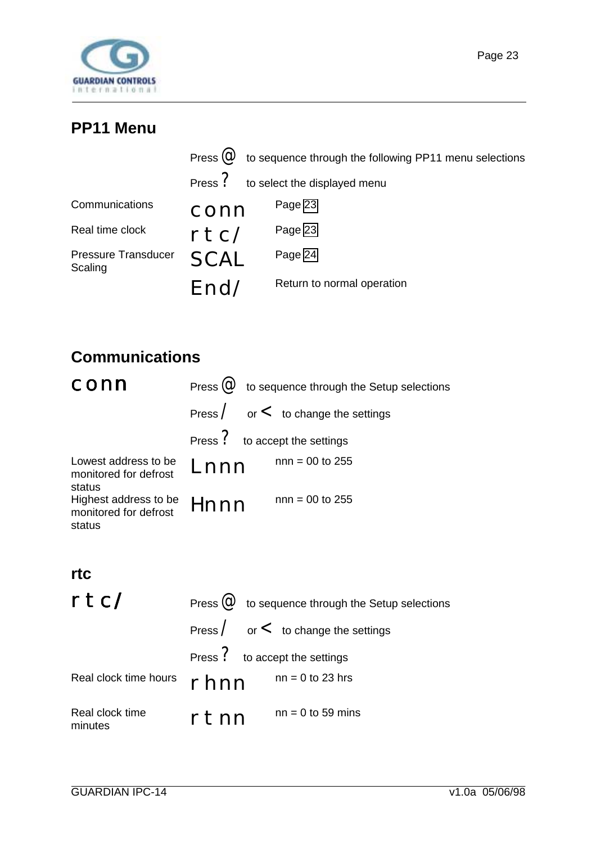<span id="page-22-0"></span>

### **PP11 Menu**

|                                       |             | Press $\omega$ to sequence through the following PP11 menu selections |
|---------------------------------------|-------------|-----------------------------------------------------------------------|
|                                       |             | Press ? to select the displayed menu                                  |
| Communications                        | conn        | Page 23                                                               |
| Real time clock                       | rtc/        | Page 23                                                               |
| <b>Pressure Transducer</b><br>Scaling | <b>SCAL</b> | Page 24                                                               |
|                                       | Fnd/        | Return to normal operation                                            |

# **Communications**

|      | Press $\omega$ to sequence through the Setup selections |
|------|---------------------------------------------------------|
|      | Press $\angle$ or $\lt$ to change the settings          |
|      | Press ? to accept the settings                          |
| Lnnn | $nnn = 00$ to 255                                       |
| Hnnn | $nnn = 00$ to 255                                       |
|      |                                                         |

#### **rtc**

| rtc/                       |                                | Press $\omega$ to sequence through the Setup selections |
|----------------------------|--------------------------------|---------------------------------------------------------|
|                            |                                | Press $\angle$ or $\lt$ to change the settings          |
|                            | Press ? to accept the settings |                                                         |
| Real clock time hours      | rhnn                           | $nn = 0$ to 23 hrs                                      |
| Real clock time<br>minutes | rtnn                           | $nn = 0$ to 59 mins                                     |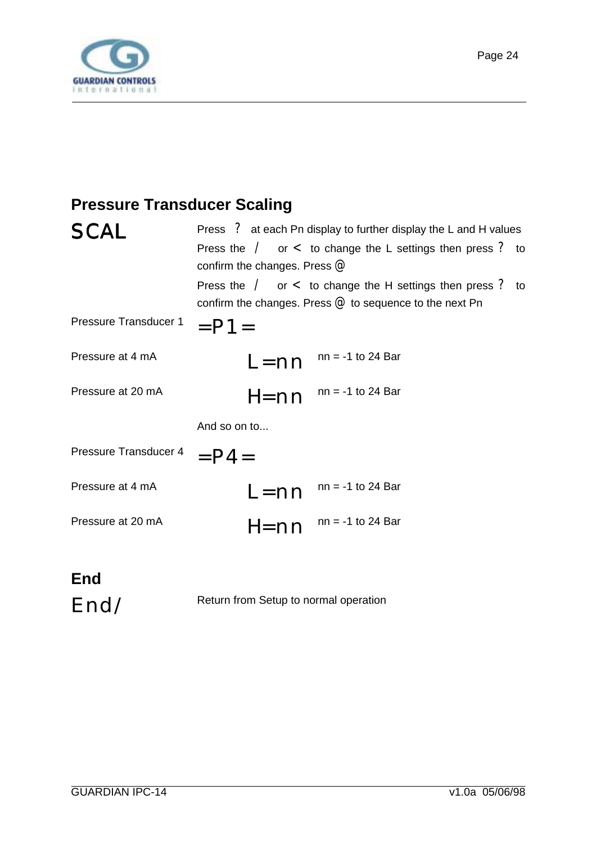<span id="page-23-0"></span>

### **Pressure Transducer Scaling**

| <b>SCA</b>            | Press ? at each Pn display to further display the L and H values                                                                  |  |  |  |  |  |
|-----------------------|-----------------------------------------------------------------------------------------------------------------------------------|--|--|--|--|--|
|                       | Press the $\angle$ or $\lt$ to change the L settings then press ? to<br>confirm the changes. Press $@$                            |  |  |  |  |  |
|                       | Press the $\angle$ or $\lt$ to change the H settings then press ? to<br>confirm the changes. Press $@$ to sequence to the next Pn |  |  |  |  |  |
| Pressure Transducer 1 | $=$ P1 $=$                                                                                                                        |  |  |  |  |  |
| Pressure at 4 mA      | $nn = -1$ to 24 Bar<br>$L = nn$                                                                                                   |  |  |  |  |  |
| Pressure at 20 mA     | $nn = -1$ to 24 Bar<br>$H = nn$                                                                                                   |  |  |  |  |  |
|                       | And so on to                                                                                                                      |  |  |  |  |  |
| Pressure Transducer 4 | $=$ P4 $=$                                                                                                                        |  |  |  |  |  |
| Pressure at 4 mA      | $nn = -1$ to 24 Bar<br>$L = nn$                                                                                                   |  |  |  |  |  |
| Pressure at 20 mA     | $nn = -1$ to 24 Bar<br>$H = nn$                                                                                                   |  |  |  |  |  |
| ᄃᇰᆗ                   |                                                                                                                                   |  |  |  |  |  |

**End**

End/ Return from Setup to normal operation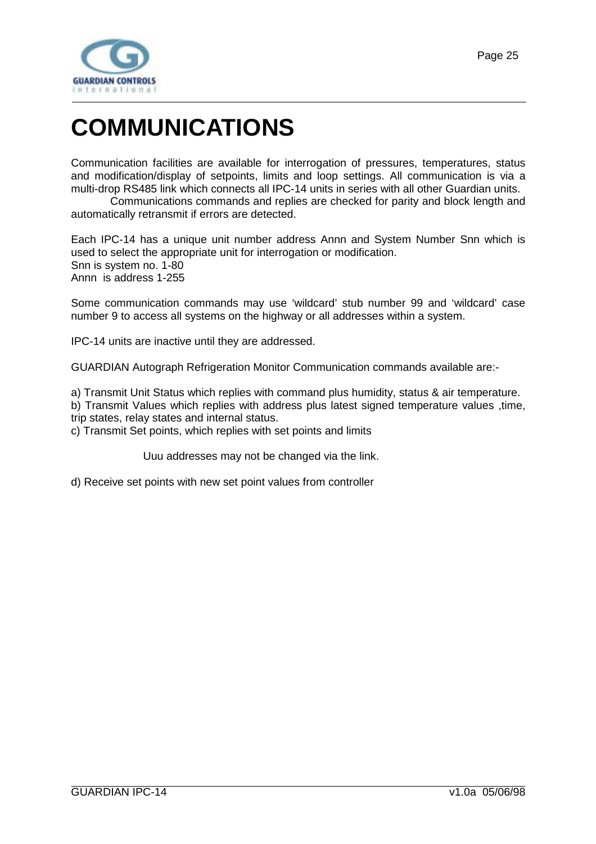# <span id="page-24-0"></span>**COMMUNICATIONS**

Communication facilities are available for interrogation of pressures, temperatures, status and modification/display of setpoints, limits and loop settings. All communication is via a multi-drop RS485 link which connects all IPC-14 units in series with all other Guardian units.

 Communications commands and replies are checked for parity and block length and automatically retransmit if errors are detected.

Each IPC-14 has a unique unit number address Annn and System Number Snn which is used to select the appropriate unit for interrogation or modification. Snn is system no. 1-80 Annn is address 1-255

Some communication commands may use 'wildcard' stub number 99 and 'wildcard' case number 9 to access all systems on the highway or all addresses within a system.

IPC-14 units are inactive until they are addressed.

GUARDIAN Autograph Refrigeration Monitor Communication commands available are:-

a) Transmit Unit Status which replies with command plus humidity, status & air temperature.

b) Transmit Values which replies with address plus latest signed temperature values ,time, trip states, relay states and internal status.

c) Transmit Set points, which replies with set points and limits

Uuu addresses may not be changed via the link.

d) Receive set points with new set point values from controller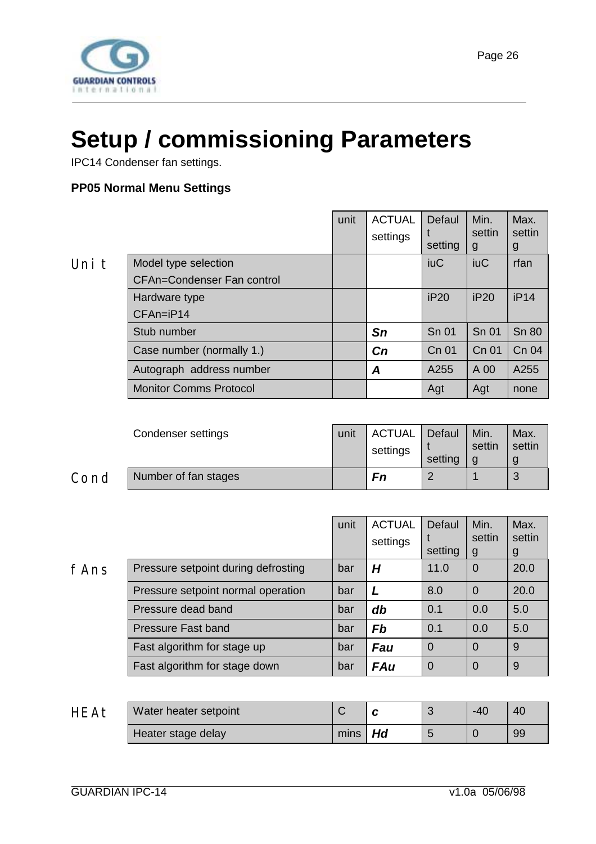<span id="page-25-0"></span>

# **Setup / commissioning Parameters**

IPC14 Condenser fan settings.

#### **PP05 Normal Menu Settings**

| v |  |  |
|---|--|--|

|       |                                   | unit | <b>ACTUAL</b><br>settings | Defaul<br>setting | Min.<br>settin<br>g | Max.<br>settin<br>g |
|-------|-----------------------------------|------|---------------------------|-------------------|---------------------|---------------------|
| Uni t | Model type selection              |      |                           | <b>iuC</b>        | <b>iuC</b>          | rfan                |
|       | <b>CFAn=Condenser Fan control</b> |      |                           |                   |                     |                     |
|       | Hardware type                     |      |                           | iP20              | iP20                | iP14                |
|       | $CFAn=iP14$                       |      |                           |                   |                     |                     |
|       | Stub number                       |      | Sn                        | Sn 01             | <b>Sn 01</b>        | <b>Sn 80</b>        |
|       | Case number (normally 1.)         |      | Cn                        | Cn 01             | Cn 01               | Cn 04               |
|       | Autograph address number          |      | A                         | A255              | A 00                | A255                |
|       | <b>Monitor Comms Protocol</b>     |      |                           | Agt               | Agt                 | none                |
|       |                                   |      |                           |                   |                     |                     |

|      | Condenser settings   | unit | <b>ACTUAL</b><br>settings | Defaul<br>setting | Min.<br>settin | Max.<br>settin |
|------|----------------------|------|---------------------------|-------------------|----------------|----------------|
| Cond | Number of fan stages |      | Fn                        |                   |                | 3              |

|      |                                     | unit | <b>ACTUAL</b><br>settings | Defaul<br>setting | Min.<br>settin<br>g | Max.<br>settin<br>g |
|------|-------------------------------------|------|---------------------------|-------------------|---------------------|---------------------|
| fAns | Pressure setpoint during defrosting | bar  | Н                         | 11.0              | $\Omega$            | 20.0                |
|      | Pressure setpoint normal operation  | bar  |                           | 8.0               | $\Omega$            | 20.0                |
|      | Pressure dead band                  | bar  | db                        | 0.1               | 0.0                 | 5.0                 |
|      | <b>Pressure Fast band</b>           | bar  | <b>Fb</b>                 | 0.1               | 0.0                 | 5.0                 |
|      | Fast algorithm for stage up         | bar  | <b>Fau</b>                | $\overline{0}$    | $\Omega$            | 9                   |
|      | Fast algorithm for stage down       | bar  | <b>FAu</b>                | $\overline{0}$    | $\Omega$            | 9                   |

| <b>HEAt</b> | Water heater setpoint |             |  | $-40$ | 40 |
|-------------|-----------------------|-------------|--|-------|----|
|             | Heater stage delay    | $mins$ $Hd$ |  |       | 99 |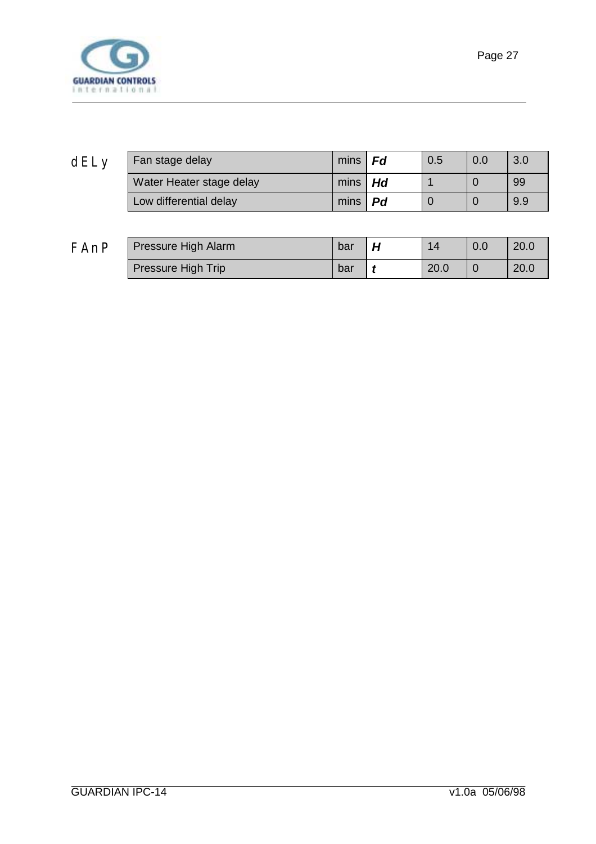

| dELy | Fan stage delay          | mins $ $ <b>Fd</b> |      | 0.5 | 0.0 | 3.0 |
|------|--------------------------|--------------------|------|-----|-----|-----|
|      | Water Heater stage delay | mins $\vert$ Hd    |      |     |     | 99  |
|      | Low differential delay   | mins               | . Pd |     |     | 9.9 |
|      |                          |                    |      |     |     |     |

| FAnP | Pressure High Alarm | bar | $\overline{14}$ | 0.0 | 20.0 |
|------|---------------------|-----|-----------------|-----|------|
|      | Pressure High Trip  | bar | 20.0            |     | 20.0 |